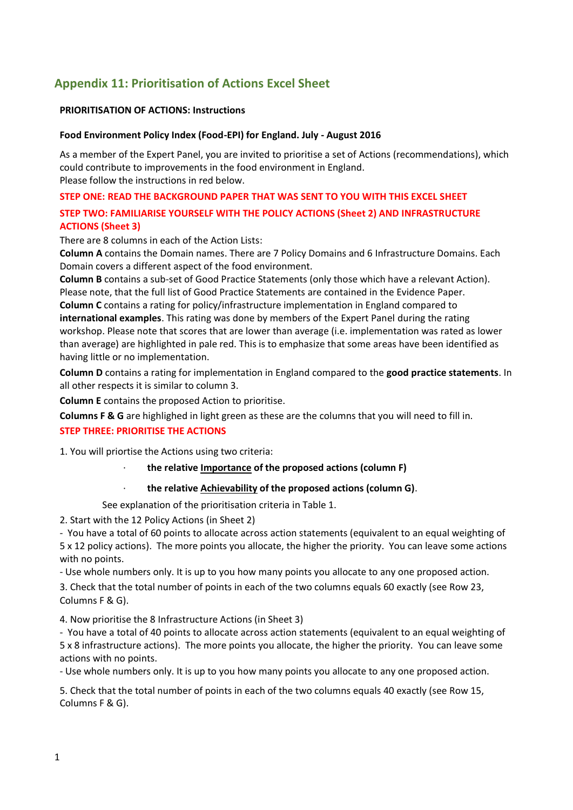## **Appendix 11: Prioritisation of Actions Excel Sheet**

### **PRIORITISATION OF ACTIONS: Instructions**

#### **Food Environment Policy Index (Food-EPI) for England. July - August 2016**

As a member of the Expert Panel, you are invited to prioritise a set of Actions (recommendations), which could contribute to improvements in the food environment in England. Please follow the instructions in red below.

### **STEP ONE: READ THE BACKGROUND PAPER THAT WAS SENT TO YOU WITH THIS EXCEL SHEET**

## **STEP TWO: FAMILIARISE YOURSELF WITH THE POLICY ACTIONS (Sheet 2) AND INFRASTRUCTURE ACTIONS (Sheet 3)**

There are 8 columns in each of the Action Lists:

**Column A** contains the Domain names. There are 7 Policy Domains and 6 Infrastructure Domains. Each Domain covers a different aspect of the food environment.

**Column B** contains a sub-set of Good Practice Statements (only those which have a relevant Action). Please note, that the full list of Good Practice Statements are contained in the Evidence Paper.

**Column C** contains a rating for policy/infrastructure implementation in England compared to **international examples**. This rating was done by members of the Expert Panel during the rating workshop. Please note that scores that are lower than average (i.e. implementation was rated as lower than average) are highlighted in pale red. This is to emphasize that some areas have been identified as having little or no implementation.

**Column D** contains a rating for implementation in England compared to the **good practice statements**. In all other respects it is similar to column 3.

**Column E** contains the proposed Action to prioritise.

**Columns F & G** are highlighed in light green as these are the columns that you will need to fill in.

## **STEP THREE: PRIORITISE THE ACTIONS**

1. You will priortise the Actions using two criteria:

#### · **the relative Importance of the proposed actions (column F)**

## · **the relative Achievability of the proposed actions (column G)**.

See explanation of the prioritisation criteria in Table 1.

2. Start with the 12 Policy Actions (in Sheet 2)

- You have a total of 60 points to allocate across action statements (equivalent to an equal weighting of 5 x 12 policy actions). The more points you allocate, the higher the priority. You can leave some actions with no points.

- Use whole numbers only. It is up to you how many points you allocate to any one proposed action.

3. Check that the total number of points in each of the two columns equals 60 exactly (see Row 23, Columns F & G).

4. Now prioritise the 8 Infrastructure Actions (in Sheet 3)

- You have a total of 40 points to allocate across action statements (equivalent to an equal weighting of 5 x 8 infrastructure actions). The more points you allocate, the higher the priority. You can leave some actions with no points.

- Use whole numbers only. It is up to you how many points you allocate to any one proposed action.

5. Check that the total number of points in each of the two columns equals 40 exactly (see Row 15, Columns F & G).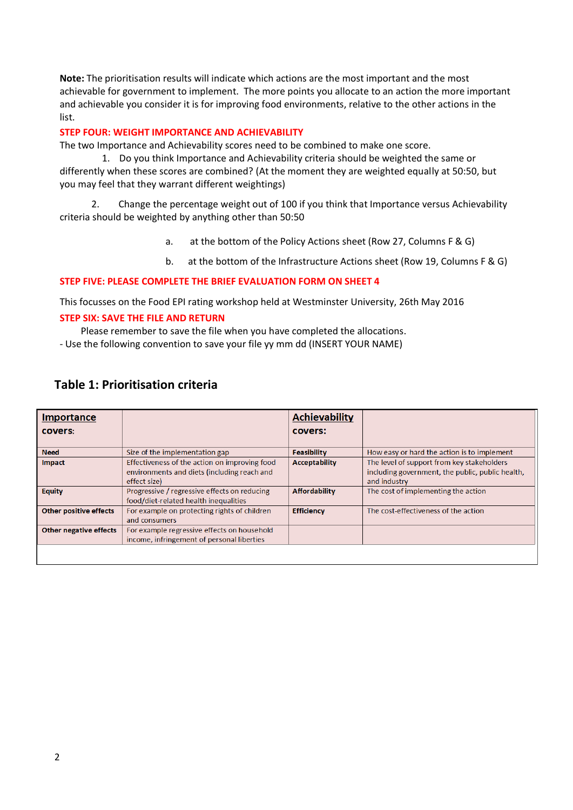**Note:** The prioritisation results will indicate which actions are the most important and the most achievable for government to implement. The more points you allocate to an action the more important and achievable you consider it is for improving food environments, relative to the other actions in the list.

#### **STEP FOUR: WEIGHT IMPORTANCE AND ACHIEVABILITY**

The two Importance and Achievability scores need to be combined to make one score.

1. Do you think Importance and Achievability criteria should be weighted the same or differently when these scores are combined? (At the moment they are weighted equally at 50:50, but you may feel that they warrant different weightings)

2. Change the percentage weight out of 100 if you think that Importance versus Achievability criteria should be weighted by anything other than 50:50

- a. at the bottom of the Policy Actions sheet (Row 27, Columns F & G)
- b. at the bottom of the Infrastructure Actions sheet (Row 19, Columns F & G)

#### **STEP FIVE: PLEASE COMPLETE THE BRIEF EVALUATION FORM ON SHEET 4**

This focusses on the Food EPI rating workshop held at Westminster University, 26th May 2016

#### **STEP SIX: SAVE THE FILE AND RETURN**

Please remember to save the file when you have completed the allocations.

- Use the following convention to save your file yy mm dd (INSERT YOUR NAME)

| Importance                    |                                                                                                              | <b>Achievability</b> |                                                                                                                |
|-------------------------------|--------------------------------------------------------------------------------------------------------------|----------------------|----------------------------------------------------------------------------------------------------------------|
| <b>covers:</b>                |                                                                                                              | covers:              |                                                                                                                |
| <b>Need</b>                   | Size of the implementation gap                                                                               | Feasibility          | How easy or hard the action is to implement                                                                    |
| <b>Impact</b>                 | Effectiveness of the action on improving food<br>environments and diets (including reach and<br>effect size) | <b>Acceptability</b> | The level of support from key stakeholders<br>including government, the public, public health,<br>and industry |
| <b>Equity</b>                 | Progressive / regressive effects on reducing<br>food/diet-related health inequalities                        | <b>Affordability</b> | The cost of implementing the action                                                                            |
| <b>Other positive effects</b> | For example on protecting rights of children<br>and consumers                                                | <b>Efficiency</b>    | The cost-effectiveness of the action                                                                           |
| <b>Other negative effects</b> | For example regressive effects on household<br>income, infringement of personal liberties                    |                      |                                                                                                                |
|                               |                                                                                                              |                      |                                                                                                                |

## **Table 1: Prioritisation criteria**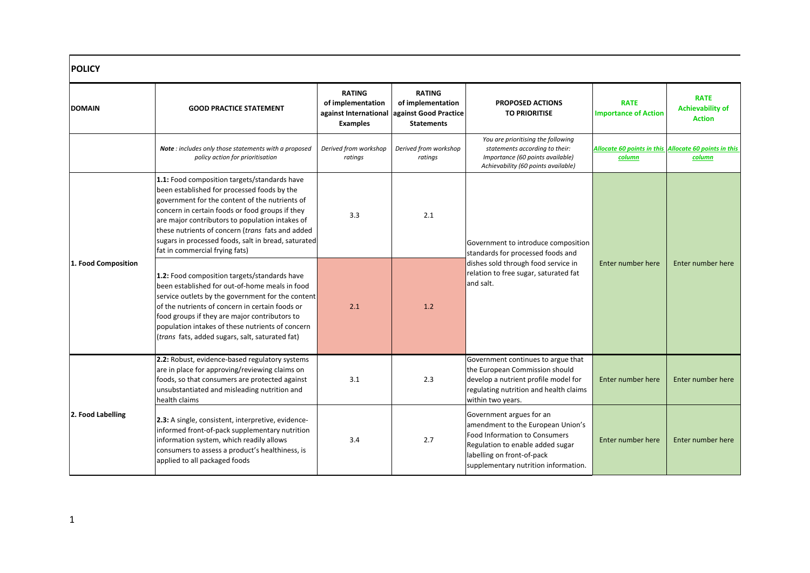| <b>POLICY</b>       |                                                                                                                                                                                                                                                                                                                                                                                                  |                                                                                |                                                                                  |                                                                                                                                                                                                                 |                                            |                                                                 |
|---------------------|--------------------------------------------------------------------------------------------------------------------------------------------------------------------------------------------------------------------------------------------------------------------------------------------------------------------------------------------------------------------------------------------------|--------------------------------------------------------------------------------|----------------------------------------------------------------------------------|-----------------------------------------------------------------------------------------------------------------------------------------------------------------------------------------------------------------|--------------------------------------------|-----------------------------------------------------------------|
| <b>DOMAIN</b>       | <b>GOOD PRACTICE STATEMENT</b>                                                                                                                                                                                                                                                                                                                                                                   | <b>RATING</b><br>of implementation<br>against International<br><b>Examples</b> | <b>RATING</b><br>of implementation<br>against Good Practice<br><b>Statements</b> | <b>PROPOSED ACTIONS</b><br><b>TO PRIORITISE</b>                                                                                                                                                                 | <b>RATE</b><br><b>Importance of Action</b> | <b>RATE</b><br><b>Achievability of</b><br><b>Action</b>         |
|                     | Note: includes only those statements with a proposed<br>policy action for prioritisation                                                                                                                                                                                                                                                                                                         | Derived from workshop<br>ratings                                               | Derived from workshop<br>ratings                                                 | You are prioritising the following<br>statements according to their:<br>Importance (60 points available)<br>Achievability (60 points available)                                                                 | <b>column</b>                              | Allocate 60 points in this Allocate 60 points in this<br>column |
|                     | 1.1: Food composition targets/standards have<br>been established for processed foods by the<br>government for the content of the nutrients of<br>concern in certain foods or food groups if they<br>are major contributors to population intakes of<br>these nutrients of concern (trans fats and added<br>sugars in processed foods, salt in bread, saturated<br>fat in commercial frying fats) | 3.3                                                                            | 2.1                                                                              | Government to introduce composition<br>standards for processed foods and                                                                                                                                        |                                            |                                                                 |
| 1. Food Composition | 1.2: Food composition targets/standards have<br>been established for out-of-home meals in food<br>service outlets by the government for the content<br>of the nutrients of concern in certain foods or<br>food groups if they are major contributors to<br>population intakes of these nutrients of concern<br>(trans fats, added sugars, salt, saturated fat)                                   | and salt.<br>2.1<br>1.2                                                        | dishes sold through food service in<br>relation to free sugar, saturated fat     | Enter number here                                                                                                                                                                                               | Enter number here                          |                                                                 |
|                     | 2.2: Robust, evidence-based regulatory systems<br>are in place for approving/reviewing claims on<br>foods, so that consumers are protected against<br>unsubstantiated and misleading nutrition and<br>health claims                                                                                                                                                                              | 3.1                                                                            | 2.3                                                                              | Government continues to argue that<br>the European Commission should<br>develop a nutrient profile model for<br>regulating nutrition and health claims<br>within two years.                                     | Enter number here                          | Enter number here                                               |
| 2. Food Labelling   | 2.3: A single, consistent, interpretive, evidence-<br>informed front-of-pack supplementary nutrition<br>information system, which readily allows<br>consumers to assess a product's healthiness, is<br>applied to all packaged foods                                                                                                                                                             | 3.4                                                                            | 2.7                                                                              | Government argues for an<br>amendment to the European Union's<br><b>Food Information to Consumers</b><br>Regulation to enable added sugar<br>labelling on front-of-pack<br>supplementary nutrition information. | Enter number here                          | Enter number here                                               |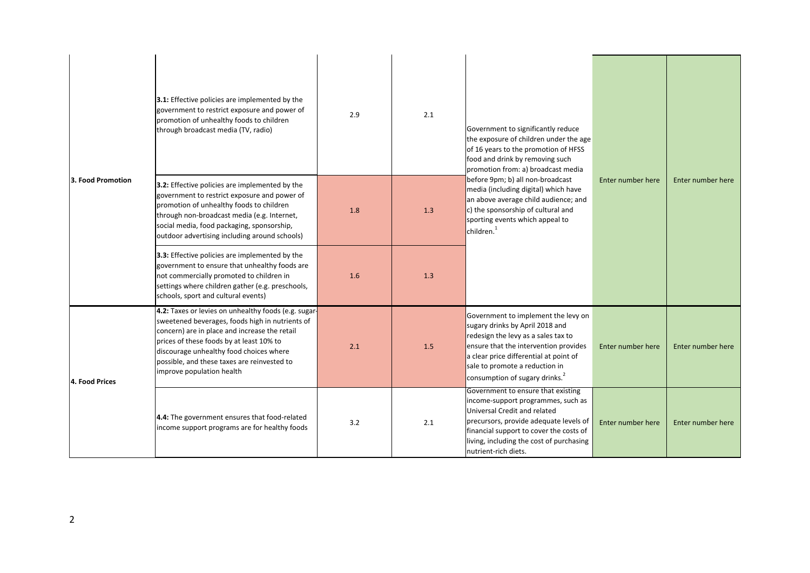|                   | 3.1: Effective policies are implemented by the<br>government to restrict exposure and power of<br>promotion of unhealthy foods to children<br>through broadcast media (TV, radio)                                                                                                                                           | 2.9 | 2.1 | Government to significantly reduce<br>the exposure of children under the age<br>of 16 years to the promotion of HFSS<br>food and drink by removing such<br>promotion from: a) broadcast media                                                                                    |                   |                   |
|-------------------|-----------------------------------------------------------------------------------------------------------------------------------------------------------------------------------------------------------------------------------------------------------------------------------------------------------------------------|-----|-----|----------------------------------------------------------------------------------------------------------------------------------------------------------------------------------------------------------------------------------------------------------------------------------|-------------------|-------------------|
| 3. Food Promotion | 3.2: Effective policies are implemented by the<br>government to restrict exposure and power of<br>promotion of unhealthy foods to children<br>through non-broadcast media (e.g. Internet,<br>social media, food packaging, sponsorship,<br>outdoor advertising including around schools)                                    | 1.8 | 1.3 | before 9pm; b) all non-broadcast<br>media (including digital) which have<br>an above average child audience; and<br>c) the sponsorship of cultural and<br>sporting events which appeal to<br>children. <sup>1</sup>                                                              | Enter number here | Enter number here |
|                   | 3.3: Effective policies are implemented by the<br>government to ensure that unhealthy foods are<br>not commercially promoted to children in<br>settings where children gather (e.g. preschools,<br>schools, sport and cultural events)                                                                                      | 1.6 | 1.3 |                                                                                                                                                                                                                                                                                  |                   |                   |
| 4. Food Prices    | 4.2: Taxes or levies on unhealthy foods (e.g. sugar-<br>sweetened beverages, foods high in nutrients of<br>concern) are in place and increase the retail<br>prices of these foods by at least 10% to<br>discourage unhealthy food choices where<br>possible, and these taxes are reinvested to<br>improve population health | 2.1 | 1.5 | Government to implement the levy on<br>sugary drinks by April 2018 and<br>redesign the levy as a sales tax to<br>ensure that the intervention provides<br>a clear price differential at point of<br>sale to promote a reduction in<br>consumption of sugary drinks. <sup>2</sup> | Enter number here | Enter number here |
|                   | 4.4: The government ensures that food-related<br>income support programs are for healthy foods                                                                                                                                                                                                                              | 3.2 | 2.1 | Government to ensure that existing<br>income-support programmes, such as<br>Universal Credit and related<br>precursors, provide adequate levels of<br>financial support to cover the costs of<br>living, including the cost of purchasing<br>nutrient-rich diets.                | Enter number here | Enter number here |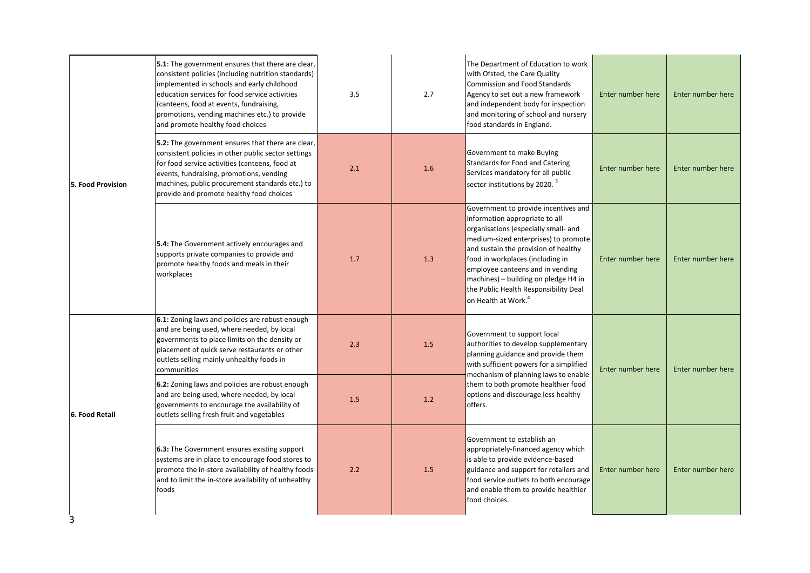|                   | 5.1: The government ensures that there are clear,<br>consistent policies (including nutrition standards)<br>implemented in schools and early childhood<br>education services for food service activities<br>(canteens, food at events, fundraising,<br>promotions, vending machines etc.) to provide<br>and promote healthy food choices | 3.5 | 2.7 | The Department of Education to work<br>with Ofsted, the Care Quality<br><b>Commission and Food Standards</b><br>Agency to set out a new framework<br>and independent body for inspection<br>and monitoring of school and nursery<br>food standards in England.                                                                                                                             | Enter number here | Enter number here |
|-------------------|------------------------------------------------------------------------------------------------------------------------------------------------------------------------------------------------------------------------------------------------------------------------------------------------------------------------------------------|-----|-----|--------------------------------------------------------------------------------------------------------------------------------------------------------------------------------------------------------------------------------------------------------------------------------------------------------------------------------------------------------------------------------------------|-------------------|-------------------|
| 5. Food Provision | 5.2: The government ensures that there are clear,<br>consistent policies in other public sector settings<br>for food service activities (canteens, food at<br>events, fundraising, promotions, vending<br>machines, public procurement standards etc.) to<br>provide and promote healthy food choices                                    | 2.1 | 1.6 | Government to make Buying<br>Standards for Food and Catering<br>Services mandatory for all public<br>sector institutions by 2020. <sup>3</sup>                                                                                                                                                                                                                                             | Enter number here | Enter number here |
|                   | 5.4: The Government actively encourages and<br>supports private companies to provide and<br>promote healthy foods and meals in their<br>workplaces                                                                                                                                                                                       | 1.7 | 1.3 | Government to provide incentives and<br>information appropriate to all<br>organisations (especially small- and<br>medium-sized enterprises) to promote<br>and sustain the provision of healthy<br>food in workplaces (including in<br>employee canteens and in vending<br>machines) - building on pledge H4 in<br>the Public Health Responsibility Deal<br>on Health at Work. <sup>4</sup> | Enter number here | Enter number here |
|                   | 6.1: Zoning laws and policies are robust enough<br>and are being used, where needed, by local<br>governments to place limits on the density or<br>placement of quick serve restaurants or other<br>outlets selling mainly unhealthy foods in<br>communities                                                                              | 2.3 | 1.5 | Government to support local<br>authorities to develop supplementary<br>planning guidance and provide them<br>with sufficient powers for a simplified<br>mechanism of planning laws to enable                                                                                                                                                                                               | Enter number here | Enter number here |
| 6. Food Retail    | 6.2: Zoning laws and policies are robust enough<br>and are being used, where needed, by local<br>governments to encourage the availability of<br>outlets selling fresh fruit and vegetables                                                                                                                                              | 1.5 | 1.2 | them to both promote healthier food<br>options and discourage less healthy<br>offers.                                                                                                                                                                                                                                                                                                      |                   |                   |
| 3                 | 6.3: The Government ensures existing support<br>systems are in place to encourage food stores to<br>promote the in-store availability of healthy foods<br>and to limit the in-store availability of unhealthy<br>foods                                                                                                                   | 2.2 | 1.5 | Government to establish an<br>appropriately-financed agency which<br>is able to provide evidence-based<br>guidance and support for retailers and<br>food service outlets to both encourage<br>and enable them to provide healthier<br>food choices.                                                                                                                                        | Enter number here | Enter number here |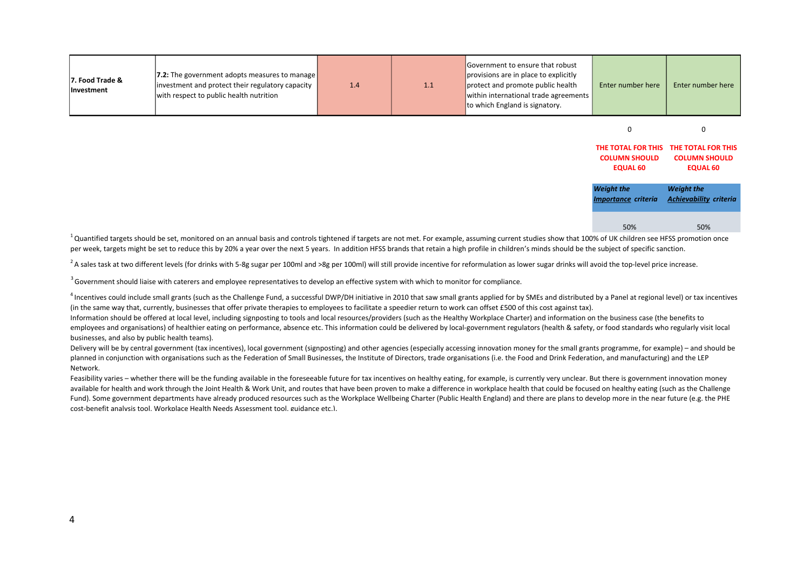| 7. Food Trade &<br><b>Investment</b> | <b>7.2:</b> The government adopts measures to manage<br>investment and protect their regulatory capacity<br>with respect to public health nutrition | 1.4 | 1.1 | Government to ensure that robust<br>provisions are in place to explicitly<br>protect and promote public health<br>within international trade agreements<br>to which England is signatory. | Enter number here | Enter number here |
|--------------------------------------|-----------------------------------------------------------------------------------------------------------------------------------------------------|-----|-----|-------------------------------------------------------------------------------------------------------------------------------------------------------------------------------------------|-------------------|-------------------|
|--------------------------------------|-----------------------------------------------------------------------------------------------------------------------------------------------------|-----|-----|-------------------------------------------------------------------------------------------------------------------------------------------------------------------------------------------|-------------------|-------------------|

0 0

| THE TOTAL FOR THIS                              | THE TOTAL FOR THIS                                 |
|-------------------------------------------------|----------------------------------------------------|
| <b>COLUMN SHOULD</b>                            | <b>COLUMN SHOULD</b>                               |
| <b>EQUAL 60</b>                                 | <b>EQUAL 60</b>                                    |
| <b>Weight the</b><br><b>Importance criteria</b> | <b>Weight the</b><br><b>Achievability criteria</b> |
| 50%                                             | 50%                                                |

 $1$ Ouantified targets should be set, monitored on an annual basis and controls tightened if targets are not met. For example, assuming current studies show that 100% of UK children see HFSS promotion once per week, targets might be set to reduce this by 20% a year over the next 5 years. In addition HFSS brands that retain a high profile in children's minds should be the subject of specific sanction.

<sup>2</sup>A sales task at two different levels (for drinks with 5-8g sugar per 100ml and >8g per 100ml) will still provide incentive for reformulation as lower sugar drinks will avoid the top-level price increase.

<sup>3</sup> Government should liaise with caterers and employee representatives to develop an effective system with which to monitor for compliance.

<sup>4</sup> Incentives could include small grants (such as the Challenge Fund, a successful DWP/DH initiative in 2010 that saw small grants applied for by SMEs and distributed by a Panel at regional level) or tax incentives (in the same way that, currently, businesses that offer private therapies to employees to facilitate a speedier return to work can offset £500 of this cost against tax).

Information should be offered at local level, including signposting to tools and local resources/providers (such as the Healthy Workplace Charter) and information on the business case (the benefits to employees and organisations) of healthier eating on performance, absence etc. This information could be delivered by local-government regulators (health & safety, or food standards who regularly visit local businesses, and also by public health teams).

Delivery will be by central government (tax incentives), local government (signposting) and other agencies (especially accessing innovation money for the small grants programme, for example) – and should be planned in conjunction with organisations such as the Federation of Small Businesses, the Institute of Directors, trade organisations (i.e. the Food and Drink Federation, and manufacturing) and the LEP Network.

Feasibility varies – whether there will be the funding available in the foreseeable future for tax incentives on healthy eating, for example, is currently very unclear. But there is government innovation money available for health and work through the Joint Health & Work Unit, and routes that have been proven to make a difference in workplace health that could be focused on healthy eating (such as the Challenge Fund). Some government departments have already produced resources such as the Workplace Wellbeing Charter (Public Health England) and there are plans to develop more in the near future (e.g. the PHE cost-benefit analysis tool, Workplace Health Needs Assessment tool, guidance etc.).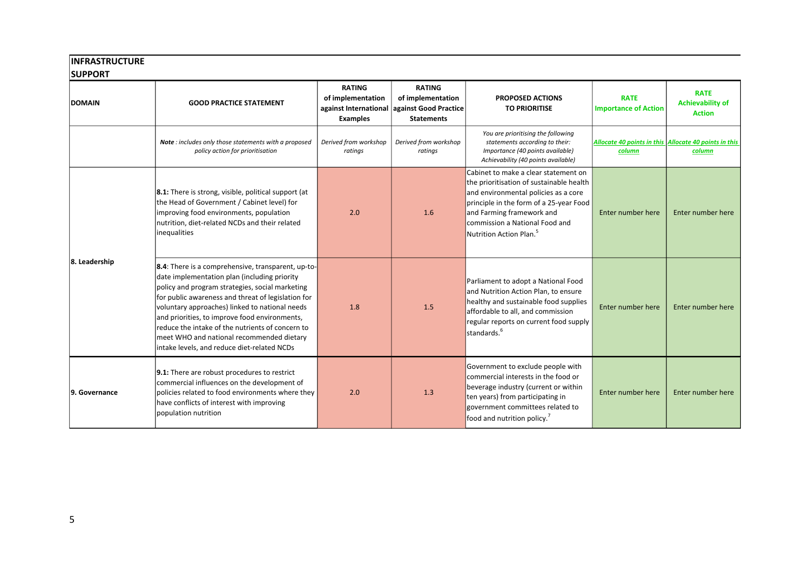# **INFRASTRUCTURE**

| u |
|---|
|---|

| <b>DOMAIN</b> | <b>GOOD PRACTICE STATEMENT</b>                                                                                                                                                                                                                                                                                                                                                                                                                                 | <b>RATING</b><br>of implementation<br>against International<br><b>Examples</b> | <b>RATING</b><br>of implementation<br>against Good Practice<br><b>Statements</b> | <b>PROPOSED ACTIONS</b><br><b>TO PRIORITISE</b>                                                                                                                                                                                                                            | <b>RATE</b><br><b>Importance of Action</b>                      | <b>RATE</b><br><b>Achievability of</b><br><b>Action</b> |
|---------------|----------------------------------------------------------------------------------------------------------------------------------------------------------------------------------------------------------------------------------------------------------------------------------------------------------------------------------------------------------------------------------------------------------------------------------------------------------------|--------------------------------------------------------------------------------|----------------------------------------------------------------------------------|----------------------------------------------------------------------------------------------------------------------------------------------------------------------------------------------------------------------------------------------------------------------------|-----------------------------------------------------------------|---------------------------------------------------------|
|               | Note: includes only those statements with a proposed<br>policy action for prioritisation                                                                                                                                                                                                                                                                                                                                                                       | Derived from workshop<br>ratings                                               | Derived from workshop<br>ratings                                                 | You are prioritising the following<br>statements according to their:<br>Importance (40 points available)<br>Achievability (40 points available)                                                                                                                            | Allocate 40 points in this Allocate 40 points in this<br>column | column                                                  |
|               | <b>8.1:</b> There is strong, visible, political support (at<br>the Head of Government / Cabinet level) for<br>improving food environments, population<br>nutrition, diet-related NCDs and their related<br>inequalities                                                                                                                                                                                                                                        | 2.0                                                                            | 1.6                                                                              | lCabinet to make a clear statement on<br>the prioritisation of sustainable health<br>and environmental policies as a core<br>principle in the form of a 25-year Food<br>and Farming framework and<br>commission a National Food and<br>Nutrition Action Plan. <sup>5</sup> | Enter number here                                               | Enter number here                                       |
| 8. Leadership | 8.4: There is a comprehensive, transparent, up-to-<br>date implementation plan (including priority<br>policy and program strategies, social marketing<br>for public awareness and threat of legislation for<br>voluntary approaches) linked to national needs<br>and priorities, to improve food environments,<br>reduce the intake of the nutrients of concern to<br>meet WHO and national recommended dietary<br>intake levels, and reduce diet-related NCDs | 1.8                                                                            | 1.5                                                                              | Parliament to adopt a National Food<br>and Nutrition Action Plan, to ensure<br>healthy and sustainable food supplies<br>affordable to all, and commission<br>regular reports on current food supply<br>standards. <sup>6</sup>                                             | Enter number here                                               | Enter number here                                       |
| 9. Governance | <b>9.1:</b> There are robust procedures to restrict<br>commercial influences on the development of<br>policies related to food environments where they<br>have conflicts of interest with improving<br>population nutrition                                                                                                                                                                                                                                    | 2.0                                                                            | 1.3                                                                              | Government to exclude people with<br>commercial interests in the food or<br>beverage industry (current or within<br>ten years) from participating in<br>government committees related to<br>food and nutrition policy.                                                     | Enter number here                                               | Enter number here                                       |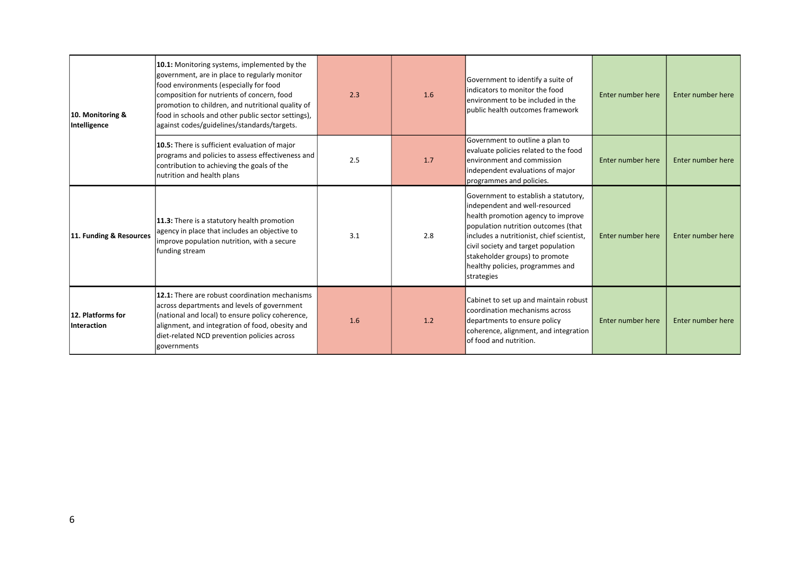| 10. Monitoring &<br>Intelligence | 10.1: Monitoring systems, implemented by the<br>government, are in place to regularly monitor<br>food environments (especially for food<br>composition for nutrients of concern, food<br>promotion to children, and nutritional quality of<br>food in schools and other public sector settings),<br>against codes/guidelines/standards/targets. | 2.3 | 1.6 | Government to identify a suite of<br>Indicators to monitor the food<br>lenvironment to be included in the<br>lpublic health outcomes framework                                                                                                                                                                              | Enter number here | Enter number here |
|----------------------------------|-------------------------------------------------------------------------------------------------------------------------------------------------------------------------------------------------------------------------------------------------------------------------------------------------------------------------------------------------|-----|-----|-----------------------------------------------------------------------------------------------------------------------------------------------------------------------------------------------------------------------------------------------------------------------------------------------------------------------------|-------------------|-------------------|
|                                  | 10.5: There is sufficient evaluation of major<br>programs and policies to assess effectiveness and<br>contribution to achieving the goals of the<br>nutrition and health plans                                                                                                                                                                  | 2.5 | 1.7 | Government to outline a plan to<br>evaluate policies related to the food<br>environment and commission<br>independent evaluations of major<br>programmes and policies.                                                                                                                                                      | Enter number here | Enter number here |
| 11. Funding & Resources          | 11.3: There is a statutory health promotion<br>agency in place that includes an objective to<br>improve population nutrition, with a secure<br>funding stream                                                                                                                                                                                   | 3.1 | 2.8 | Government to establish a statutory,<br>independent and well-resourced<br>health promotion agency to improve<br>population nutrition outcomes (that<br>includes a nutritionist, chief scientist,<br>civil society and target population<br>stakeholder groups) to promote<br>healthy policies, programmes and<br>strategies | Enter number here | Enter number here |
| 12. Platforms for<br>Interaction | 12.1: There are robust coordination mechanisms<br>across departments and levels of government<br>(national and local) to ensure policy coherence,<br>alignment, and integration of food, obesity and<br>diet-related NCD prevention policies across<br><i><u>deovernments</u></i>                                                               | 1.6 | 1.2 | Cabinet to set up and maintain robust<br>coordination mechanisms across<br>departments to ensure policy<br>coherence, alignment, and integration<br>of food and nutrition.                                                                                                                                                  | Enter number here | Enter number here |